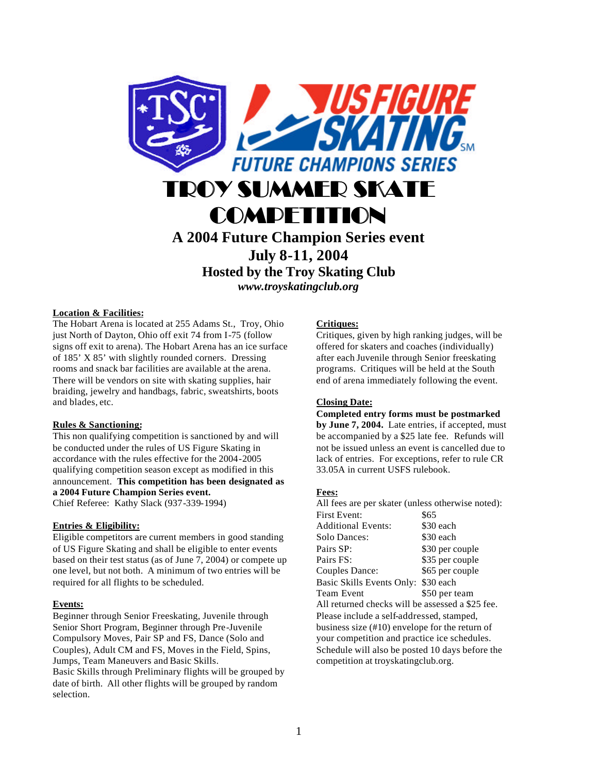

**Hosted by the Troy Skating Club** *www.troyskatingclub.org*

## **Location & Facilities:**

The Hobart Arena is located at 255 Adams St., Troy, Ohio just North of Dayton, Ohio off exit 74 from I-75 (follow signs off exit to arena). The Hobart Arena has an ice surface of 185' X 85' with slightly rounded corners. Dressing rooms and snack bar facilities are available at the arena. There will be vendors on site with skating supplies, hair braiding, jewelry and handbags, fabric, sweatshirts, boots and blades, etc.

## **Rules & Sanctioning:**

This non qualifying competition is sanctioned by and will be conducted under the rules of US Figure Skating in accordance with the rules effective for the 2004-2005 qualifying competition season except as modified in this announcement. **This competition has been designated as a 2004 Future Champion Series event.** Chief Referee: Kathy Slack (937-339-1994)

## **Entries & Eligibility:**

Eligible competitors are current members in good standing of US Figure Skating and shall be eligible to enter events based on their test status (as of June 7, 2004) or compete up one level, but not both. A minimum of two entries will be required for all flights to be scheduled.

## **Events:**

Beginner through Senior Freeskating, Juvenile through Senior Short Program, Beginner through Pre-Juvenile Compulsory Moves, Pair SP and FS, Dance (Solo and Couples), Adult CM and FS, Moves in the Field, Spins, Jumps, Team Maneuvers and Basic Skills. Basic Skills through Preliminary flights will be grouped by date of birth. All other flights will be grouped by random selection.

## **Critiques:**

Critiques, given by high ranking judges, will be offered for skaters and coaches (individually) after each Juvenile through Senior freeskating programs. Critiques will be held at the South end of arena immediately following the event.

## **Closing Date:**

**Completed entry forms must be postmarked by June 7, 2004.** Late entries, if accepted, must be accompanied by a \$25 late fee. Refunds will not be issued unless an event is cancelled due to lack of entries. For exceptions, refer to rule CR 33.05A in current USFS rulebook.

## **Fees:**

| All fees are per skater (unless otherwise noted): |                 |  |  |
|---------------------------------------------------|-----------------|--|--|
| <b>First Event:</b>                               | \$65            |  |  |
| <b>Additional Events:</b>                         | \$30 each       |  |  |
| Solo Dances:                                      | \$30 each       |  |  |
| Pairs SP:                                         | \$30 per couple |  |  |
| Pairs FS:                                         | \$35 per couple |  |  |
| Couples Dance:                                    | \$65 per couple |  |  |
| <b>Basic Skills Events Only:</b>                  | \$30 each       |  |  |
| Team Event                                        | \$50 per team   |  |  |
| All returned checks will be assessed a \$25 fee.  |                 |  |  |
| Please include a self-addressed, stamped,         |                 |  |  |
| business size $(\#10)$ envelope for the return of |                 |  |  |
| your competition and practice ice schedules.      |                 |  |  |
| Schedule will also be posted 10 days before the   |                 |  |  |
| competition at troyskatingclub.org.               |                 |  |  |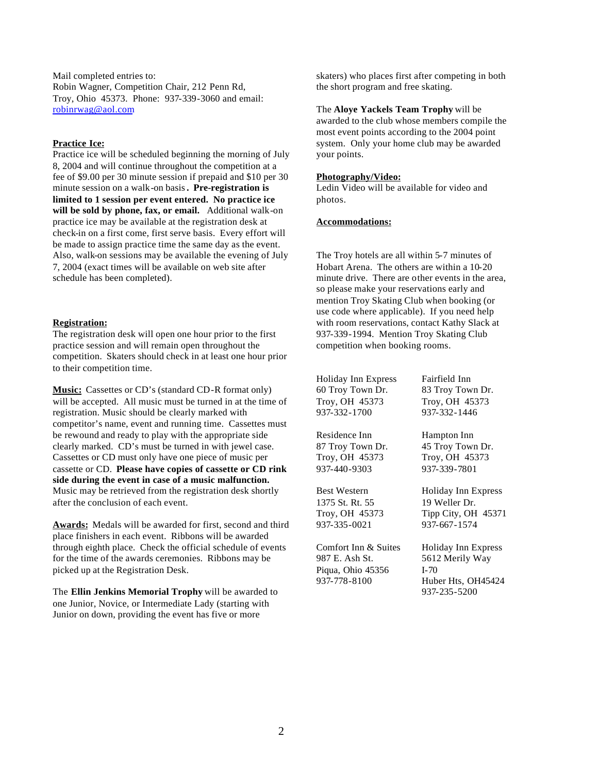Mail completed entries to: Robin Wagner, Competition Chair, 212 Penn Rd, Troy, Ohio 45373. Phone: 937-339-3060 and email: robinrwag@aol.com

## **Practice Ice:**

Practice ice will be scheduled beginning the morning of July 8, 2004 and will continue throughout the competition at a fee of \$9.00 per 30 minute session if prepaid and \$10 per 30 minute session on a walk-on basis**. Pre-registration is limited to 1 session per event entered. No practice ice will be sold by phone, fax, or email.** Additional walk-on practice ice may be available at the registration desk at check-in on a first come, first serve basis. Every effort will be made to assign practice time the same day as the event. Also, walk-on sessions may be available the evening of July 7, 2004 (exact times will be available on web site after schedule has been completed).

## **Registration:**

The registration desk will open one hour prior to the first practice session and will remain open throughout the competition. Skaters should check in at least one hour prior to their competition time.

**Music:** Cassettes or CD's (standard CD-R format only) will be accepted. All music must be turned in at the time of registration. Music should be clearly marked with competitor's name, event and running time. Cassettes must be rewound and ready to play with the appropriate side clearly marked. CD's must be turned in with jewel case. Cassettes or CD must only have one piece of music per cassette or CD. **Please have copies of cassette or CD rink side during the event in case of a music malfunction.** Music may be retrieved from the registration desk shortly after the conclusion of each event.

**Awards:** Medals will be awarded for first, second and third place finishers in each event. Ribbons will be awarded through eighth place. Check the official schedule of events for the time of the awards ceremonies. Ribbons may be picked up at the Registration Desk.

The **Ellin Jenkins Memorial Trophy** will be awarded to one Junior, Novice, or Intermediate Lady (starting with Junior on down, providing the event has five or more

skaters) who places first after competing in both the short program and free skating.

The **Aloye Yackels Team Trophy** will be awarded to the club whose members compile the most event points according to the 2004 point system. Only your home club may be awarded your points.

## **Photography/Video:**

Ledin Video will be available for video and photos.

### **Accommodations:**

The Troy hotels are all within 5-7 minutes of Hobart Arena. The others are within a 10-20 minute drive. There are other events in the area, so please make your reservations early and mention Troy Skating Club when booking (or use code where applicable). If you need help with room reservations, contact Kathy Slack at 937-339-1994. Mention Troy Skating Club competition when booking rooms.

Holiday Inn Express Fairfield Inn 60 Troy Town Dr. 83 Troy Town Dr. Troy, OH 45373 Troy, OH 45373 937-332-1700 937-332-1446

Residence Inn Hampton Inn 87 Troy Town Dr. 45 Troy Town Dr. Troy, OH 45373 Troy, OH 45373 937-440-9303 937-339-7801

1375 St. Rt. 55 19 Weller Dr. 937-335-0021 937-667-1574

Comfort Inn & Suites Holiday Inn Express 987 E. Ash St. 5612 Merily Way Piqua, Ohio 45356 I-70 937-778-8100 Huber Hts, OH45424

Best Western Holiday Inn Express Troy, OH 45373 Tipp City, OH 45371

937-235-5200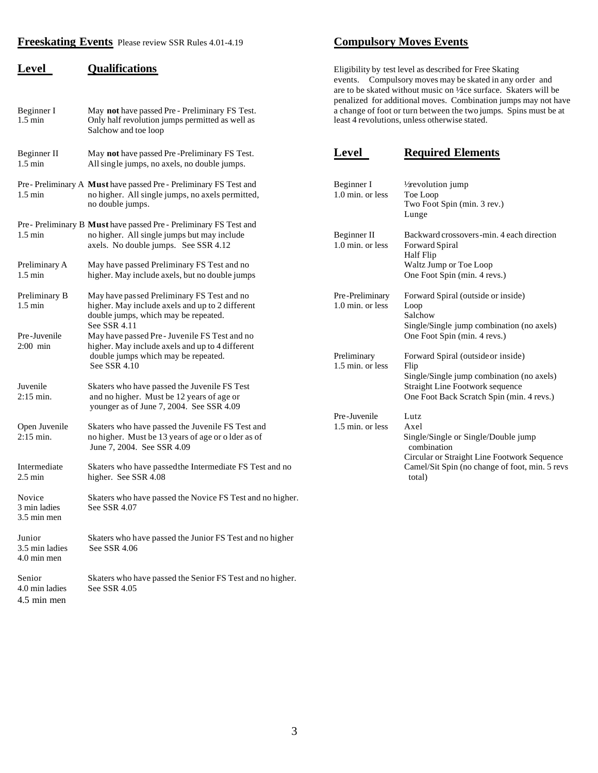## **Freeskating Events** Please review SSR Rules 4.01-4.19 **Compulsory Moves Events**

| , <u>.</u><br>Beginner I<br>$1.5 \text{ min}$ | <u>uminivativno</u><br>May not have passed Pre - Preliminary FS Test.<br>Only half revolution jumps permitted as well as<br>Salchow and toe loop        | Englointy by tost level as described for 1 fee bratting<br>events. Compulsory moves may be skated in any order and<br>are to be skated without music on Vice surface. Skaters will be<br>penalized for additional moves. Combination jumps may not have<br>a change of foot or turn between the two jumps. Spins must be at<br>least 4 revolutions, unless otherwise stated. |                                                                                                                                  |  |
|-----------------------------------------------|---------------------------------------------------------------------------------------------------------------------------------------------------------|------------------------------------------------------------------------------------------------------------------------------------------------------------------------------------------------------------------------------------------------------------------------------------------------------------------------------------------------------------------------------|----------------------------------------------------------------------------------------------------------------------------------|--|
| Beginner II<br>$1.5 \text{ min}$              | May not have passed Pre-Preliminary FS Test.<br>All single jumps, no axels, no double jumps.                                                            | Level                                                                                                                                                                                                                                                                                                                                                                        | <b>Required Elements</b>                                                                                                         |  |
| $1.5 \text{ min}$                             | Pre-Preliminary A Must have passed Pre-Preliminary FS Test and<br>no higher. All single jumps, no axels permitted,<br>no double jumps.                  | Beginner I<br>1.0 min. or less                                                                                                                                                                                                                                                                                                                                               | $\frac{1}{2}$ revolution jump<br>Toe Loop<br>Two Foot Spin (min. 3 rev.)<br>Lunge                                                |  |
| $1.5 \text{ min}$                             | Pre- Preliminary B Must have passed Pre- Preliminary FS Test and<br>no higher. All single jumps but may include<br>axels. No double jumps. See SSR 4.12 | Beginner II<br>1.0 min. or less                                                                                                                                                                                                                                                                                                                                              | Backward crossovers-min. 4 each direction<br>Forward Spiral<br>Half Flip                                                         |  |
| Preliminary A<br>$1.5 \text{ min}$            | May have passed Preliminary FS Test and no<br>higher. May include axels, but no double jumps                                                            |                                                                                                                                                                                                                                                                                                                                                                              | Waltz Jump or Toe Loop<br>One Foot Spin (min. 4 revs.)                                                                           |  |
| Preliminary B<br>$1.5 \text{ min}$            | May have passed Preliminary FS Test and no<br>higher. May include axels and up to 2 different<br>double jumps, which may be repeated.<br>See SSR 4.11   | Pre-Preliminary<br>1.0 min. or less                                                                                                                                                                                                                                                                                                                                          | Forward Spiral (outside or inside)<br>Loop<br>Salchow<br>Single/Single jump combination (no axels)                               |  |
| Pre-Juvenile<br>$2:00$ min                    | May have passed Pre-Juvenile FS Test and no<br>higher. May include axels and up to 4 different<br>double jumps which may be repeated.<br>See SSR 4.10   | Preliminary<br>1.5 min. or less                                                                                                                                                                                                                                                                                                                                              | One Foot Spin (min. 4 revs.)<br>Forward Spiral (outside or inside)<br>Flip                                                       |  |
| Juvenile<br>$2:15 \,\mathrm{min}$ .           | Skaters who have passed the Juvenile FS Test<br>and no higher. Must be 12 years of age or<br>younger as of June 7, 2004. See SSR 4.09                   |                                                                                                                                                                                                                                                                                                                                                                              | Single/Single jump combination (no axels)<br><b>Straight Line Footwork sequence</b><br>One Foot Back Scratch Spin (min. 4 revs.) |  |
| Open Juvenile<br>$2:15$ min.                  | Skaters who have passed the Juvenile FS Test and<br>no higher. Must be 13 years of age or o lder as of<br>June 7, 2004. See SSR 4.09                    | Pre-Juvenile<br>1.5 min. or less                                                                                                                                                                                                                                                                                                                                             | Lutz<br>Axel<br>Single/Single or Single/Double jump<br>combination<br>Circular or Straight Line Footwork Sequence                |  |
| Intermediate<br>$2.5 \text{ min}$             | Skaters who have passed the Intermediate FS Test and no<br>higher. See SSR 4.08                                                                         |                                                                                                                                                                                                                                                                                                                                                                              | Camel/Sit Spin (no change of foot, min. 5 revs<br>total)                                                                         |  |
| Novice<br>3 min ladies<br>3.5 min men         | Skaters who have passed the Novice FS Test and no higher.<br>See SSR 4.07                                                                               |                                                                                                                                                                                                                                                                                                                                                                              |                                                                                                                                  |  |
| Junior<br>3.5 min ladies<br>4.0 min men       | Skaters who have passed the Junior FS Test and no higher<br>See SSR 4.06                                                                                |                                                                                                                                                                                                                                                                                                                                                                              |                                                                                                                                  |  |
| Senior<br>4.0 min ladies                      | Skaters who have passed the Senior FS Test and no higher.<br>See SSR 4.05                                                                               |                                                                                                                                                                                                                                                                                                                                                                              |                                                                                                                                  |  |

4.5 min men

**Level Qualifications Qualifications Eligibility by test level as described for Free Skating** events. Compulsory moves may be skated in any order and are to be skated without music on  $\frac{1}{2}$ ice surface. Skaters will be penalized for additional moves. Combination jumps may not have a change of foot or turn between the two jumps. Spins must be at least 4 revolutions, unless otherwise stated.

| May not have passed Pre-Preliminary FS Test.<br>All single jumps, no axels, no double jumps. | Level            | <b>Required Elements</b>                       |
|----------------------------------------------------------------------------------------------|------------------|------------------------------------------------|
| Must have passed Pre - Preliminary FS Test and                                               | Beginner I       | $\frac{1}{2}$ revolution jump                  |
| no higher. All single jumps, no axels permitted,                                             | 1.0 min. or less | Toe Loop                                       |
| no double jumps.                                                                             |                  | Two Foot Spin (min. 3 rev.)                    |
|                                                                                              |                  | Lunge                                          |
| <b>Must</b> have passed Pre - Preliminary FS Test and                                        |                  |                                                |
| no higher. All single jumps but may include                                                  | Beginner II      | Backward crossovers-min. 4 each direction      |
| axels. No double jumps. See SSR 4.12                                                         | 1.0 min. or less | Forward Spiral                                 |
|                                                                                              |                  | <b>Half Flip</b>                               |
| May have passed Preliminary FS Test and no                                                   |                  | Waltz Jump or Toe Loop                         |
| higher. May include axels, but no double jumps                                               |                  | One Foot Spin (min. 4 revs.)                   |
| May have passed Preliminary FS Test and no                                                   | Pre-Preliminary  | Forward Spiral (outside or inside)             |
| higher. May include axels and up to 2 different                                              | 1.0 min. or less | Loop                                           |
| double jumps, which may be repeated.                                                         |                  | Salchow                                        |
| See SSR 4.11                                                                                 |                  | Single/Single jump combination (no axels)      |
| May have passed Pre-Juvenile FS Test and no                                                  |                  | One Foot Spin (min. 4 revs.)                   |
| higher. May include axels and up to 4 different                                              |                  |                                                |
| double jumps which may be repeated.                                                          | Preliminary      | Forward Spiral (outside or inside)             |
| See SSR 4.10                                                                                 | 1.5 min. or less | Flip                                           |
|                                                                                              |                  | Single/Single jump combination (no axels)      |
| Skaters who have passed the Juvenile FS Test                                                 |                  | Straight Line Footwork sequence                |
| and no higher. Must be 12 years of age or                                                    |                  | One Foot Back Scratch Spin (min. 4 revs.)      |
| younger as of June 7, 2004. See SSR 4.09                                                     |                  |                                                |
|                                                                                              | Pre-Juvenile     | Lutz                                           |
| Skaters who have passed the Juvenile FS Test and                                             | 1.5 min. or less | Axel                                           |
| no higher. Must be 13 years of age or o lder as of                                           |                  | Single/Single or Single/Double jump            |
| June 7, 2004. See SSR 4.09                                                                   |                  | combination                                    |
|                                                                                              |                  | Circular or Straight Line Footwork Sequence    |
| Skaters who have passed the Intermediate FS Test and no                                      |                  | Camel/Sit Spin (no change of foot, min. 5 revs |
| higher. See SSR 4.08                                                                         |                  | total)                                         |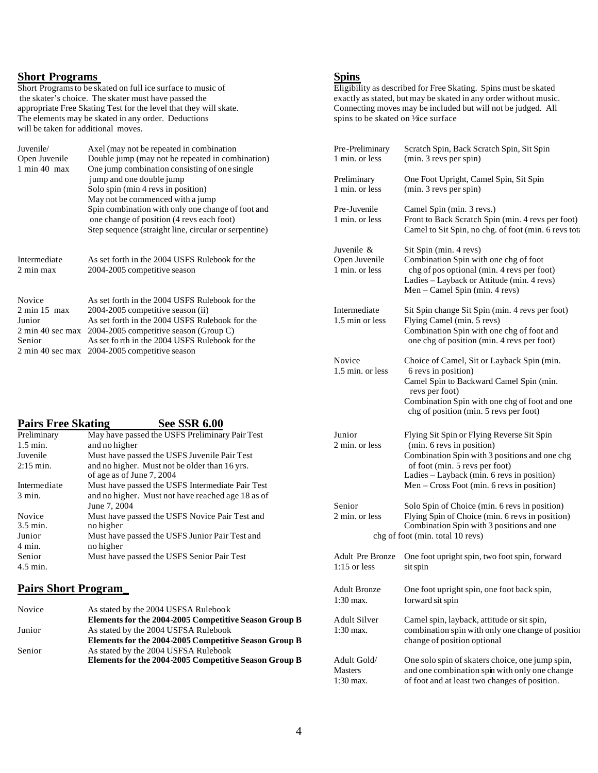**Short Programs**<br>Short Programs to be skated on full ice surface to music of appropriate Free Skating Test for the level that they will skate. Connecting moves may be included and the included but will skate. Connecting moves may be included but will not be skated on  $\frac{1}{2}$  are surface The elements may be skated in any order. Deductions will be taken for additional moves.

| Juventle/                                   | Axel (may not be repeated in combination              | Pre-Preliminary  | Scratch Spin, Back Scratch Spin, Sit Spin        |
|---------------------------------------------|-------------------------------------------------------|------------------|--------------------------------------------------|
| Open Juvenile                               | Double jump (may not be repeated in combination)      | 1 min. or less   | $(min. 3$ revs per spin $)$                      |
| $1 \text{ min } 40 \text{ max}$             | One jump combination consisting of one single         |                  |                                                  |
|                                             | jump and one double jump                              | Preliminary      | One Foot Upright, Camel Spin, Sit Spin           |
|                                             | Solo spin (min 4 revs in position)                    | 1 min. or less   | $(min. 3$ revs per spin $)$                      |
|                                             | May not be commenced with a jump                      |                  |                                                  |
|                                             | Spin combination with only one change of foot and     | Pre-Juvenile     | Camel Spin (min. 3 revs.)                        |
|                                             | one change of position (4 revs each foot)             | 1 min. or less   | Front to Back Scratch Spin (min. 4 revs per form |
|                                             | Step sequence (straight line, circular or serpentine) |                  | Camel to Sit Spin, no chg. of foot (min. 6 revs  |
|                                             |                                                       | Juvenile &       | Sit Spin (min. 4 revs)                           |
| Intermediate                                | As set forth in the 2004 USFS Rulebook for the        | Open Juvenile    | Combination Spin with one chg of foot            |
| 2 min max                                   | 2004-2005 competitive season                          | 1 min. or less   | chg of pos optional (min. 4 revs per foot)       |
|                                             |                                                       |                  | Ladies – Layback or Attitude (min. 4 revs)       |
|                                             |                                                       |                  | Men – Camel Spin (min. 4 revs)                   |
| Novice                                      | As set forth in the 2004 USFS Rulebook for the        |                  |                                                  |
| $2 \text{ min } 15 \text{ max}$             | 2004-2005 competitive season (ii)                     | Intermediate     | Sit Spin change Sit Spin (min. 4 revs per foot)  |
| Junior                                      | As set forth in the 2004 USFS Rulebook for the        | 1.5 min or less  | Flying Camel (min. 5 revs)                       |
| $2 \text{ min } 40 \text{ sec } \text{max}$ | 2004-2005 competitive season (Group C)                |                  | Combination Spin with one chg of foot and        |
| Senior                                      | As set for th in the 2004 USFS Rulebook for the       |                  | one chg of position (min. 4 revs per foot)       |
|                                             | 2 min 40 sec max 2004-2005 competitive season         |                  |                                                  |
|                                             |                                                       | Novice           | Choice of Camel, Sit or Layback Spin (min.       |
|                                             |                                                       | 1.5 min. or less | 6 revs in position)                              |
|                                             |                                                       |                  | Camel Spin to Backward Camel Spin (min.          |

### **Pairs Free Skating See SSR 6.00**<br>Preliminary May have passed the USFS Preliminar Preliminary May have passed the USFS Preliminary Pair Test 1.5 min. And no higher and no higher Juvenile Must have passed the USFS Juvenile Pair Test  $2:15$  min. and no higher. Must not be older than  $16$  yrs. of age as of June 7, 2004 Intermediate Must have passed the USFS Intermediate Pair Test 3 min. and no higher. Must not have reached age 18 as of June 7, 2004 **Senior** Solo Spin of Choice (min. 6 revs in position) Novice Must have passed the USFS Novice Pair Test and 3.5 min. or less Flying Spin of Choice (min. 6 rev. 6 rev. 6 rev. 6 rev. 6 rev. 6 rev. 6 rev. 6 rev. 6 rev. 6 rev. 6 rev. 6 rev. 6 rev. 6 rev. 6 rev. 6 rev. 6 rev. 6 re 3.5 min. no higher Combination Spin with 3 positions and one Junior Must have passed the USFS Junior Pair Test and 4 min. no higher Senior Must have passed the USFS Senior Pair Test 4.5 min. 1:15 or less sit spin 1.15 or less sit spin 1.15 or less sit spin 1.15 or less sit spin 1.15 or less sit spin 1.15 or less sit spin 1.15 or less sit spin 1.15 or less sit spin 1.15 or less sit spin 1.15 or less si

## **Pairs Short Program**

| Novice | As stated by the 2004 USFSA Rulebook                  |                     |                                                   |
|--------|-------------------------------------------------------|---------------------|---------------------------------------------------|
|        | Elements for the 2004-2005 Competitive Season Group B | <b>Adult Silver</b> | Camel spin, layback, attitude or sit spin,        |
| Junior | As stated by the 2004 USFSA Rulebook                  | 1:30 max.           | combination spin with only one change of position |
|        | Elements for the 2004-2005 Competitive Season Group B |                     | change of position optional                       |
| Senior | As stated by the 2004 USFSA Rulebook                  |                     |                                                   |
|        | Elements for the 2004-2005 Competitive Season Group B | Adult Gold/         | One solo spin of skaters choice, one jump spin,   |
|        |                                                       |                     |                                                   |

**Short Programs**<br>
Short Programs to be skated on full ice surface to music of<br>
the skater's choice. The skater must have passed the<br>
Eligibility as described for Free Skating. Spins must be skated<br>
exactly as stated, but m exactly as stated, but may be skated in any order without music.<br>Connecting moves may be included but will not be judged. All

| Juvenile/<br>Open Juvenile<br>1 min 40 max                    | Axel (may not be repeated in combination<br>Double jump (may not be repeated in combination)<br>One jump combination consisting of one single                                                                                                                                                       | Pre-Preliminary<br>1 min. or less             | Scratch Spin, Back Scratch Spin, Sit Spin<br>(min. 3 revs per spin)                                                                                                                                                       |
|---------------------------------------------------------------|-----------------------------------------------------------------------------------------------------------------------------------------------------------------------------------------------------------------------------------------------------------------------------------------------------|-----------------------------------------------|---------------------------------------------------------------------------------------------------------------------------------------------------------------------------------------------------------------------------|
|                                                               | jump and one double jump<br>Solo spin (min 4 revs in position)<br>May not be commenced with a jump                                                                                                                                                                                                  | Preliminary<br>1 min. or less                 | One Foot Upright, Camel Spin, Sit Spin<br>(min. 3 revs per spin)                                                                                                                                                          |
|                                                               | Spin combination with only one change of foot and<br>one change of position (4 revs each foot)<br>Step sequence (straight line, circular or serpentine)                                                                                                                                             | Pre-Juvenile<br>1 min. or less                | Camel Spin (min. 3 revs.)<br>Front to Back Scratch Spin (min. 4 revs per foot)<br>Camel to Sit Spin, no chg. of foot (min. 6 revs tota                                                                                    |
| Intermediate<br>2 min max                                     | As set forth in the 2004 USFS Rulebook for the<br>2004-2005 competitive season                                                                                                                                                                                                                      | Juvenile &<br>Open Juvenile<br>1 min. or less | Sit Spin (min. 4 revs)<br>Combination Spin with one chg of foot<br>chg of pos optional (min. 4 revs per foot)<br>Ladies - Layback or Attitude (min. 4 revs)<br>Men – Camel Spin (min. 4 revs)                             |
| Novice<br>$2 \text{ min } 15 \text{ max}$<br>Junior<br>Senior | As set forth in the 2004 USFS Rulebook for the<br>2004-2005 competitive season (ii)<br>As set forth in the 2004 USFS Rulebook for the<br>2 min 40 sec max 2004-2005 competitive season (Group C)<br>As set forth in the 2004 USFS Rulebook for the<br>2 min 40 sec max 2004-2005 competitive season | Intermediate<br>1.5 min or less               | Sit Spin change Sit Spin (min. 4 revs per foot)<br>Flying Camel (min. 5 revs)<br>Combination Spin with one chg of foot and<br>one chg of position (min. 4 revs per foot)                                                  |
|                                                               |                                                                                                                                                                                                                                                                                                     | Novice<br>1.5 min. or less                    | Choice of Camel, Sit or Layback Spin (min.<br>6 revs in position)<br>Camel Spin to Backward Camel Spin (min.<br>revs per foot)<br>Combination Spin with one chg of foot and one<br>chg of position (min. 5 revs per foot) |
| <b>Pairs Free Skating</b>                                     | <b>See SSR 6.00</b>                                                                                                                                                                                                                                                                                 |                                               |                                                                                                                                                                                                                           |
| Preliminary                                                   | May have passed the USFS Preliminary Pair Test                                                                                                                                                                                                                                                      | Junior                                        | Flying Sit Spin or Flying Reverse Sit Spin                                                                                                                                                                                |
| 1.5 min.                                                      | and no higher                                                                                                                                                                                                                                                                                       | 2 min. or less                                | (min. 6 revs in position)                                                                                                                                                                                                 |
| Juvenile                                                      | Must have passed the USFS Juvenile Pair Test                                                                                                                                                                                                                                                        |                                               | Combination Spin with 3 positions and one chg                                                                                                                                                                             |
| 2:15 min.                                                     | and no higher. Must not be older than 16 yrs.<br>of age as of June 7, 2004                                                                                                                                                                                                                          |                                               | of foot (min. 5 revs per foot)<br>Ladies - Layback (min. 6 revs in position)                                                                                                                                              |
| Intermediate<br>3 min.                                        | Must have passed the USFS Intermediate Pair Test<br>and no higher. Must not have reached age 18 as of                                                                                                                                                                                               |                                               | Men $-$ Cross Foot (min. 6 revs in position)                                                                                                                                                                              |
|                                                               | June 7, 2004                                                                                                                                                                                                                                                                                        | Senior                                        | Solo Spin of Choice (min. 6 revs in position)                                                                                                                                                                             |
| Novice<br>3.5 min.                                            | Must have passed the USFS Novice Pair Test and<br>no higher                                                                                                                                                                                                                                         | 2 min. or less                                | Flying Spin of Choice (min. 6 revs in position)<br>Combination Spin with 3 positions and one                                                                                                                              |
| Junior                                                        | Must have passed the USFS Junior Pair Test and                                                                                                                                                                                                                                                      |                                               | chg of foot (min. total 10 revs)                                                                                                                                                                                          |
| 4 min.                                                        | no higher                                                                                                                                                                                                                                                                                           |                                               |                                                                                                                                                                                                                           |
| Senior                                                        | Must have passed the USFS Senior Pair Test                                                                                                                                                                                                                                                          | Adult Pre Bronze                              | One foot upright spin, two foot spin, forward                                                                                                                                                                             |
| 4.5 min.                                                      |                                                                                                                                                                                                                                                                                                     | $1:15$ or less                                | sit spin                                                                                                                                                                                                                  |
| <b>Pairs Short Program</b>                                    |                                                                                                                                                                                                                                                                                                     | <b>Adult Bronze</b>                           | One foot upright spin, one foot back spin,                                                                                                                                                                                |
|                                                               |                                                                                                                                                                                                                                                                                                     | $1:30$ max.                                   | forward sit spin                                                                                                                                                                                                          |
| Novice                                                        | As stated by the 2004 USFSA Rulebook                                                                                                                                                                                                                                                                |                                               |                                                                                                                                                                                                                           |
| Junior                                                        | Elements for the 2004-2005 Competitive Season Group B<br>As stated by the 2004 USFSA Rulebook                                                                                                                                                                                                       | Adult Silver<br>$1:30$ max.                   | Camel spin, layback, attitude or sit spin,<br>combination spin with only one change of position                                                                                                                           |
|                                                               | Elements for the 2004-2005 Competitive Season Group B                                                                                                                                                                                                                                               |                                               | change of position optional                                                                                                                                                                                               |
| Senior                                                        | As stated by the 2004 USFSA Rulebook<br>Elements for the 2004-2005 Competitive Season Group B                                                                                                                                                                                                       | Adult Gold/<br><b>Masters</b><br>1:30 max.    | One solo spin of skaters choice, one jump spin,<br>and one combination spin with only one change<br>of foot and at least two changes of position.                                                                         |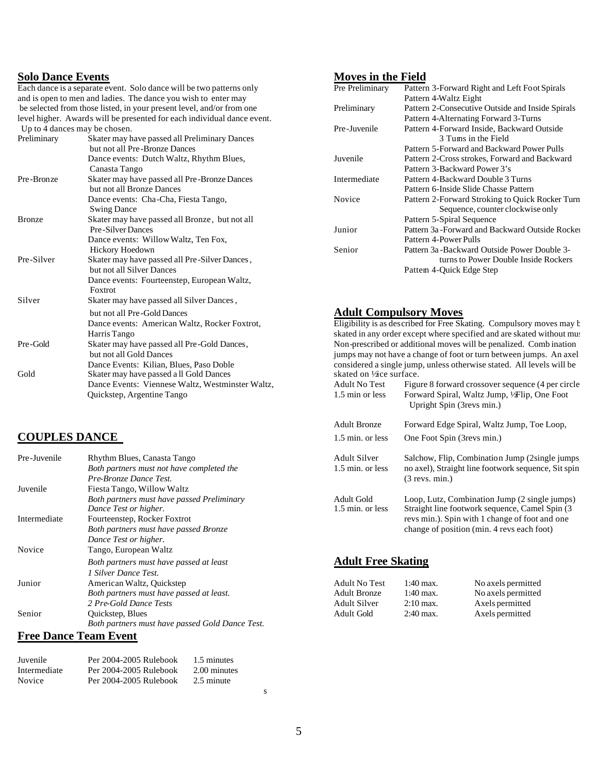Each dance is a separate event. Solo dance will be two patterns only and is open to men and ladies. The dance you wish to enter may be selected from those listed, in your present level, and/or from one level higher. Awards will be presented for each individual dance event. Up to 4 dances may be chosen.

| Preliminary   | Skater may have passed all Preliminary Dances    |                         | 3 Tums in the Field                                                  |
|---------------|--------------------------------------------------|-------------------------|----------------------------------------------------------------------|
|               | but not all Pre-Bronze Dances                    |                         | Pattern 5-Forward and Backward Power Pulls                           |
|               | Dance events: Dutch Waltz, Rhythm Blues,         | Juvenile                | Pattern 2-Cross strokes, Forward and Backward                        |
|               | Canasta Tango                                    |                         | Pattern 3-Backward Power 3's                                         |
| Pre-Bronze    | Skater may have passed all Pre-Bronze Dances     | Intermediate            | Pattern 4-Backward Double 3 Turns                                    |
|               | but not all Bronze Dances                        |                         | Pattern 6-Inside Slide Chasse Pattern                                |
|               | Dance events: Cha-Cha, Fiesta Tango,             | Novice                  | Pattern 2-Forward Stroking to Quick Rocker Tu                        |
|               | <b>Swing Dance</b>                               |                         | Sequence, counter clockwise only                                     |
| <b>Bronze</b> | Skater may have passed all Bronze, but not all   |                         | Pattern 5-Spiral Sequence                                            |
|               | <b>Pre-Silver Dances</b>                         | Junior                  | Pattern 3a - Forward and Backward Outside Rocl                       |
|               | Dance events: Willow Waltz, Ten Fox,             |                         | Pattern 4-Power Pulls                                                |
|               | Hickory Hoedown                                  | Senior                  | Pattern 3a - Backward Outside Power Double 3-                        |
| Pre-Silver    | Skater may have passed all Pre-Silver Dances,    |                         | turns to Power Double Inside Rockers                                 |
|               | but not all Silver Dances                        |                         | Pattem 4-Quick Edge Step                                             |
|               | Dance events: Fourteenstep, European Waltz,      |                         |                                                                      |
|               | Foxtrot                                          |                         |                                                                      |
| Silver        | Skater may have passed all Silver Dances,        |                         |                                                                      |
|               | but not all Pre-Gold Dances                      |                         | <b>Adult Compulsory Moves</b>                                        |
|               | Dance events: American Waltz, Rocker Foxtrot,    |                         | Eligibility is as described for Free Skating. Compulsory moves may   |
|               | Harris Tango                                     |                         | skated in any order except where specified and are skated without m  |
| Pre-Gold      | Skater may have passed all Pre-Gold Dances,      |                         | Non-prescribed or additional moves will be penalized. Comb inatio    |
|               | but not all Gold Dances                          |                         | jumps may not have a change of foot or turn between jumps. An ax     |
|               | Dance Events: Kilian, Blues, Paso Doble          |                         | considered a single jump, unless otherwise stated. All levels will b |
| Gold          | Skater may have passed a ll Gold Dances          | skated on Vice surface. |                                                                      |
|               | Dance Events: Viennese Waltz, Westminster Waltz, | <b>Adult No Test</b>    | Figure 8 forward crossover sequence (4 per circ                      |
|               | Quickstep, Argentine Tango                       | 1.5 min or less         | Forward Spiral, Waltz Jump, 1/Flip, One Foot                         |

## **COUPLES DANCE**

| Pre-Juvenile | Rhythm Blues, Canasta Tango                     | <b>Adult Silver</b>       |                  | Salchow, Flip, Combination Jump (2single jum      |
|--------------|-------------------------------------------------|---------------------------|------------------|---------------------------------------------------|
|              | Both partners must not have completed the       | 1.5 min. or less          |                  | no axel), Straight line footwork sequence, Sit sp |
|              | Pre-Bronze Dance Test.                          |                           | $(3$ revs. min.) |                                                   |
| Juvenile     | Fiesta Tango, Willow Waltz                      |                           |                  |                                                   |
|              | Both partners must have passed Preliminary      | Adult Gold                |                  | Loop, Lutz, Combination Jump (2 single jumps      |
|              | Dance Test or higher.                           | 1.5 min. or less          |                  | Straight line footwork sequence, Camel Spin (3)   |
| Intermediate | Fourteenstep, Rocker Foxtrot                    |                           |                  | revs min.). Spin with 1 change of foot and one    |
|              | Both partners must have passed Bronze           |                           |                  | change of position (min. 4 revs each foot)        |
|              | Dance Test or higher.                           |                           |                  |                                                   |
| Novice       | Tango, European Waltz                           |                           |                  |                                                   |
|              | Both partners must have passed at least         | <b>Adult Free Skating</b> |                  |                                                   |
|              | <i>I</i> Silver Dance Test.                     |                           |                  |                                                   |
| Junior       | American Waltz, Quickstep                       | <b>Adult No Test</b>      | $1:40$ max.      | No axels permitted                                |
|              | Both partners must have passed at least.        | <b>Adult Bronze</b>       | $1:40$ max.      | No axels permitted                                |
|              | 2 Pre-Gold Dance Tests                          | <b>Adult Silver</b>       | $2:10$ max.      | Axels permitted                                   |
| Senior       | Quickstep, Blues                                | Adult Gold                | $2:40$ max.      | Axels permitted                                   |
|              | Both partners must have passed Gold Dance Test. |                           |                  |                                                   |
|              |                                                 |                           |                  |                                                   |

## **Free Dance Team Event**

| Juvenile     | Per 2004-2005 Rulebook | 1.5 minutes  |
|--------------|------------------------|--------------|
| Intermediate | Per 2004-2005 Rulebook | 2.00 minutes |
| Novice       | Per 2004-2005 Rulebook | 2.5 minute   |

# **Solo Dance Events Moves in the Field**

| rate event. Solo dance will be two patterns only      | Pre Preliminary | Pattern 3-Forward Right and Left Foot Spirals    |
|-------------------------------------------------------|-----------------|--------------------------------------------------|
| and ladies. The dance you wish to enter may           |                 | Pattern 4-Waltz Eight                            |
| ose listed, in your present level, and/or from one    | Preliminary     | Pattern 2-Consecutive Outside and Inside Spirals |
| Is will be presented for each individual dance event. |                 | Pattern 4-Alternating Forward 3-Turns            |
| y be chosen.                                          | Pre-Juvenile    | Pattern 4-Forward Inside, Backward Outside       |
| Skater may have passed all Preliminary Dances         |                 | 3 Tums in the Field                              |
| but not all Pre-Bronze Dances                         |                 | Pattern 5-Forward and Backward Power Pulls       |
| Dance events: Dutch Waltz, Rhythm Blues,              | Juvenile        | Pattern 2-Cross strokes, Forward and Backward    |
| Canasta Tango                                         |                 | Pattern 3-Backward Power 3's                     |
| Skater may have passed all Pre-Bronze Dances          | Intermediate    | Pattern 4-Backward Double 3 Turns                |
| but not all Bronze Dances                             |                 | Pattern 6-Inside Slide Chasse Pattern            |
| Dance events: Cha-Cha, Fiesta Tango,                  | Novice          | Pattern 2-Forward Stroking to Quick Rocker Turn  |
| <b>Swing Dance</b>                                    |                 | Sequence, counter clockwise only                 |
| Skater may have passed all Bronze, but not all        |                 | Pattern 5-Spiral Sequence                        |
| <b>Pre-Silver Dances</b>                              | Junior          | Pattern 3a - Forward and Backward Outside Rocker |
| Dance events: Willow Waltz, Ten Fox,                  |                 | Pattern 4-Power Pulls                            |
| <b>Hickory Hoedown</b>                                | Senior          | Pattern 3a - Backward Outside Power Double 3-    |
| Skater may have passed all Pre-Silver Dances,         |                 | turns to Power Double Inside Rockers             |
| but not all Silver Dances                             |                 | Pattem 4-Ouick Edge Step                         |

## **Adult Compulsory Moves**

|                      | Dance Events: Viennese Waltz, Westminster Waltz,<br>Quickstep, Argentine Tango | <b>Adult No Test</b><br>1.5 min or less | Figure 8 forward crossover sequence (4 per circle<br>Forward Spiral, Waltz Jump, 1/Flip, One Foot<br>Upright Spin (3revs min.) |
|----------------------|--------------------------------------------------------------------------------|-----------------------------------------|--------------------------------------------------------------------------------------------------------------------------------|
|                      |                                                                                | <b>Adult Bronze</b>                     | Forward Edge Spiral, Waltz Jump, Toe Loop,                                                                                     |
| <b>COUPLES DANCE</b> |                                                                                | 1.5 min. or less                        | One Foot Spin (3revs min.)                                                                                                     |
| Pre-Juvenile         | Rhythm Blues, Canasta Tango                                                    | Adult Silver                            | Salchow, Flip, Combination Jump (2single jumps)                                                                                |
|                      | Both partners must not have completed the<br>Pre-Bronze Dance Test.            | 1.5 min. or less                        | no axel), Straight line footwork sequence, Sit spin<br>$(3$ revs. min.)                                                        |
| Juvenile             | Fiesta Tango, Willow Waltz                                                     |                                         |                                                                                                                                |
|                      | Both partners must have passed Preliminary<br>Dance Test or higher.            | Adult Gold<br>1.5 min. or less          | Loop, Lutz, Combination Jump (2 single jumps)<br>Straight line footwork sequence, Camel Spin (3)                               |
| Intermediate         | Fourteenstep, Rocker Foxtrot                                                   |                                         | revs min.). Spin with 1 change of foot and one                                                                                 |
|                      | Both partners must have passed Bronze                                          |                                         | change of position (min. 4 revs each foot)                                                                                     |
|                      | Dance Test or higher                                                           |                                         |                                                                                                                                |

## *Both partners must have passed at least* **Adult Free Skating**

| American Waltz, Quickstep                | Adult No Test | $1:40 \text{ max}$ . | No axels permitted |
|------------------------------------------|---------------|----------------------|--------------------|
| Both partners must have passed at least. | Adult Bronze  | 1:40 max.            | No axels permitted |
| 2 Pre-Gold Dance Tests                   | Adult Silver  | $2:10 \text{ max}$ . | Axels permitted    |
| Quickstep, Blues                         | Adult Gold    | $2:40$ max.          | Axels permitted    |
|                                          |               |                      |                    |

s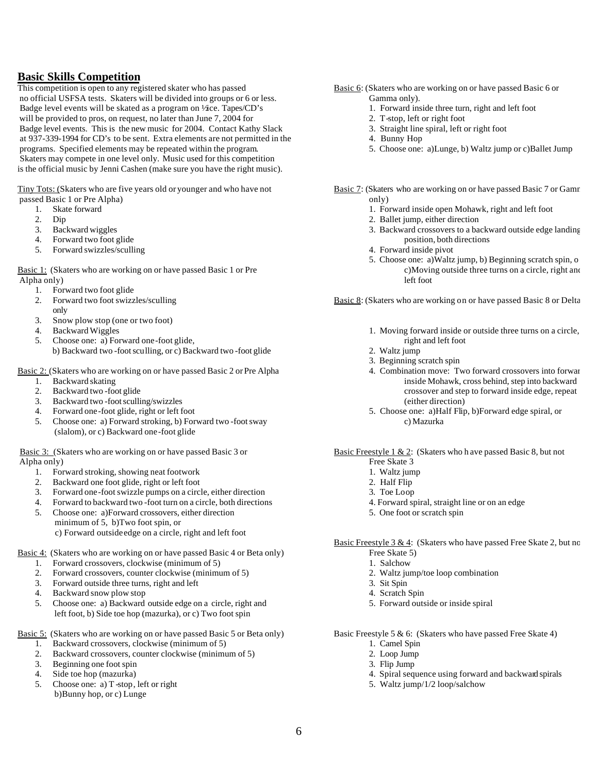**Basic Skills Competition**<br>This competition is open to any registered skater who has passed no official USFSA tests. Skaters will be divided into groups or 6 or less. Gamma only). Badge level events will be skated as a program on ¼ ce. Tapes/CD's 1. Forward inside three turn, right and left foot will be provided to pros, on request, no later than June 7, 2004 for 2. T-stop, left or right foot Badge level events. This is the new music for 2004. Contact Kathy Slack 3. Straight line spiral, left or right foot at 937-339-1994 for CD's to be sent. Extra elements are not permitted in the 4. Bunny Hop at 937-339-1994 for CD's to be sent. Extra elements are not permitted in the programs. Specified elements may be repeated within the program. 5. Choose one: a)Lunge, b) Waltz jump or c)Ballet Jump Skaters may compete in one level only. Music used for this competition is the official music by Jenni Cashen (make sure you have the right music).

Tiny Tots: (Skaters who are five years old or younger and who have not Basic 7: (Skaters who are working on or have passed Basic 7 or Gamma passed Basic 1 or Pre Alpha) only)

- 
- 
- 
- 
- 5. Forward swizzles/sculling  $\frac{4}{3}$  Forward inside pivot

Basic 1: (Skaters who are working on or have passed Basic 1 or Pre c)Moving outside three turns on a circle, right and Alpha only) left foot

- 
- 1. Forward two foot glide<br>2. Forward two foot swizzles/sculling only
- 3. Snow plow stop (one or two foot)<br>4. Backward Wiggles
- 
- 5. Choose one: a) Forward one-foot glide, b) Backward two -foot sculling, or c) Backward two -foot glide 2. Waltz jump
- Basic 2: (Skaters who are working on or have passed Basic 2 or Pre Alpha 4. Combination move: Two forward crossovers into forward
	-
	-
	- 3. Backward two -foot sculling/swizzles (either direction)<br>
	4. Forward one -foot glide, right or left foot (a) 3. Choose one: a) Half Flip
	-
	- 5. Choose one: a) Forward stroking, b) Forward two -foot sway c) Mazurka (slalom), or c) Backward one-foot glide

Basic 3: (Skaters who are working on or have passed Basic 3 or Basic Freestyle 1 & 2: (Skaters who h ave passed Basic 8, but not Alpha only)<br>
Free Skate 3 Alpha only)<br>
1. Forward stroking, showing neat footwork<br>
1. Waltz jump

- 1. Forward stroking, showing neat footwork 1. Waltz jum<br>
2. Backward one foot glide, right or left foot 2. Half Flip
- 2. Backward one foot glide, right or left foot
- 3. Forward one-foot swizzle pumps on a circle, either direction 3. Toe Loop
- 4. Forward to backward two -foot turn on a circle, both directions 4. Forward spiral, straight line or on an edge
- 5. Choose one: a)Forward crossovers, either direction 5. One foot or scratch spin minimum of 5, b)Two foot spin, or c) Forward outside edge on a circle, right and left foot
- Basic 4: (Skaters who are working on or have passed Basic 4 or Beta only) Free Skate 5 Free Skate 5 Free Skate 5 Free Skate 5 Free Skate 5 I. Salchow
	-
	- 1. Forward crossovers, clockwise (minimum of 5)<br>2. Forward crossovers, counter clockwise (minimum 2. Forward crossovers, counter clockwise (minimum of 5) 2. Waltz jump/toe loop combination<br>3. Forward outside three turns, right and left 3. Sit Spin
	- Forward outside three turns, right and left 3. Sit Spin 3. Sit Spin
	- 4. Backward snow plow stop 4. Scratch Spin 4. Scratch Spin 4. Scratch Spin 4. Scratch Spin 4. Scratch Spin 4. Scratch Spin 4. Scratch Spin 4. Scratch Spin 4. Scratch Spin 4. Scratch Spin 4. Scratch Spin 4. Scratch Spin 4.
	- 5. Choose one: a) Backward outside edge on a circle, right and 5. Forward outside or inside spiral left foot, b) Side toe hop (mazurka), or c) Two foot spin

- $\overline{1}$ . Backward crossovers, clockwise (minimum of 5).
- 2. Backward crossovers, counter clockwise (minimum of 5) 2. Loop Jump 3. Beginning one foot spin 3. Flin Jump
- Beginning one foot spin 3. Flip Jump
- 
- 5. Choose one: a) T-stop, left or right 5. Waltz jump/1/2 loop/salchow b)Bunny hop, or c) Lunge
- Basic 6: (Skaters who are working on or have passed Basic 6 or
	-
	-
	-
	-
	-
- 
- 1. Skate forward 1. Forward inside open Mohawk, right and left foot
	-
- 2. Dip 2. Ballet jump, either direction<br>
2. Ballet jump, either direction<br>
2. Backward wiggles<br>
2. Backward crossovers to a ba 3. Backward wiggles 3. Backward crossovers to a backward outside edge landing 4. Forward two foot glide position, both directions
	-
	- 5. Choose one: a)Waltz jump, b) Beginning scratch spin, o

Basic 8: (Skaters who are working on or have passed Basic 8 or Delta

- Backward Wiggles 1. Moving forward inside or outside three turns on a circle,<br>Choose one: a) Forward one-foot glide. The state of the state of the context of the context of the context of the context of the context of the
	-
	- 3. Beginning scratch spin
- 1. Backward skating<br>
2. Backward two-foot glide<br>
2. Backward two-foot glide crossover and step to forward inside edge, repeat
	- 5. Choose one: a)Half Flip, b)Forward edge spiral, or

- 
- 
- 
- 
- 
- 

Basic Freestyle  $3 & 4$ : (Skaters who have passed Free Skate 2, but no

- 
- 
- 
- 
- 

Basic 5: (Skaters who are working on or have passed Basic 5 or Beta only) Basic Freestyle 5 & 6: (Skaters who have passed Free Skate 4)<br>1. Backward crossovers, clockwise (minimum of 5) 1. Camel Spin

- 
- 
- 
- 4. Side toe hop (mazurka) 4. Spiral sequence using forward and backward spirals
	-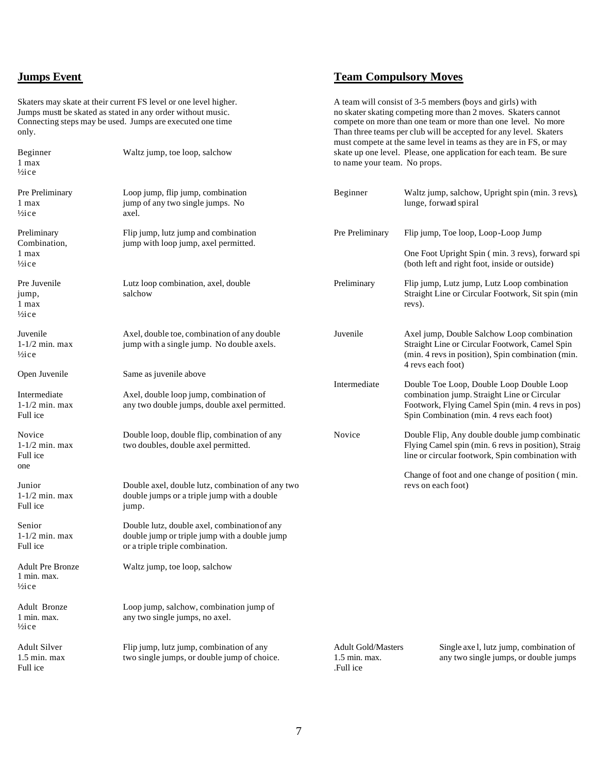# **Team Compulsory Moves**

Skaters may skate at their current FS level or one level higher.<br>
A team will consist of 3-5 members (boys and girls) with<br>
Iumps must be skated as stated in any order without music.<br>
A team will consist of 3-5 members (bo Jumps must be skated as stated in any order without music.<br>
Onnecting steps may be used. Jumps are executed one time<br>
Onnecting steps may be used. Jumps are executed one time<br>
Onnecting steps may be used. In any order with only. Than three teams per club will be accepted for any level. Skaters

| Beginner<br>1 max<br>$\frac{1}{2}$ ice                      | Waltz jump, toe loop, salchow                                                                                                    | to name your team. No props.                             | skate up one level. Please, one application for each team. Be sure                                                                                                     |
|-------------------------------------------------------------|----------------------------------------------------------------------------------------------------------------------------------|----------------------------------------------------------|------------------------------------------------------------------------------------------------------------------------------------------------------------------------|
| Pre Preliminary<br>1 max<br>$\frac{1}{2}$ ice               | Loop jump, flip jump, combination<br>jump of any two single jumps. No<br>axel.                                                   | Beginner                                                 | Waltz jump, salchow, Upright spin (min. 3 revs),<br>lunge, forward spiral                                                                                              |
| Preliminary<br>Combination,<br>1 max                        | Flip jump, lutz jump and combination<br>jump with loop jump, axel permitted.                                                     | Pre Preliminary                                          | Flip jump, Toe loop, Loop-Loop Jump<br>One Foot Upright Spin (min. 3 revs), forward spi                                                                                |
| $\frac{1}{2}$ ice                                           |                                                                                                                                  |                                                          | (both left and right foot, inside or outside)                                                                                                                          |
| Pre Juvenile<br>jump,<br>1 max<br>$\frac{1}{2}$ ice         | Lutz loop combination, axel, double<br>salchow                                                                                   | Preliminary                                              | Flip jump, Lutz jump, Lutz Loop combination<br>Straight Line or Circular Footwork, Sit spin (min<br>revs).                                                             |
| Juvenile<br>$1-1/2$ min. max<br>$\frac{1}{2}$ ice           | Axel, double toe, combination of any double<br>jump with a single jump. No double axels.                                         | Juvenile                                                 | Axel jump, Double Salchow Loop combination<br>Straight Line or Circular Footwork, Camel Spin<br>(min. 4 revs in position), Spin combination (min.<br>4 revs each foot) |
| Open Juvenile                                               | Same as juvenile above                                                                                                           | Intermediate                                             | Double Toe Loop, Double Loop Double Loop                                                                                                                               |
| Intermediate<br>$1-1/2$ min. max<br>Full ice                | Axel, double loop jump, combination of<br>any two double jumps, double axel permitted.                                           |                                                          | combination jump. Straight Line or Circular<br>Footwork, Flying Camel Spin (min. 4 revs in pos)<br>Spin Combination (min. 4 revs each foot)                            |
| Novice<br>$1-1/2$ min. max<br>Full ice                      | Double loop, double flip, combination of any<br>two doubles, double axel permitted.                                              | Novice                                                   | Double Flip, Any double double jump combination<br>Flying Camel spin (min. 6 revs in position), Straig<br>line or circular footwork, Spin combination with             |
| one                                                         |                                                                                                                                  |                                                          | Change of foot and one change of position (min.                                                                                                                        |
| Junior<br>$1-1/2$ min. max<br>Full ice                      | Double axel, double lutz, combination of any two<br>double jumps or a triple jump with a double<br>jump.                         |                                                          | revs on each foot)                                                                                                                                                     |
| Senior<br>$1-1/2$ min. max<br>Full ice                      | Double lutz, double axel, combination of any<br>double jump or triple jump with a double jump<br>or a triple triple combination. |                                                          |                                                                                                                                                                        |
| <b>Adult Pre Bronze</b><br>1 min. max.<br>$\frac{1}{2}$ ice | Waltz jump, toe loop, salchow                                                                                                    |                                                          |                                                                                                                                                                        |
| Adult Bronze<br>1 min. max.<br>$\frac{1}{2}$ ice            | Loop jump, salchow, combination jump of<br>any two single jumps, no axel.                                                        |                                                          |                                                                                                                                                                        |
| <b>Adult Silver</b><br>$1.5$ min. max<br>Full ice           | Flip jump, lutz jump, combination of any<br>two single jumps, or double jump of choice.                                          | <b>Adult Gold/Masters</b><br>$1.5$ min. max.<br>Full ice | Single axe l, lutz jump, combination of<br>any two single jumps, or double jumps                                                                                       |

compete on more than one team or more than one level. No more

must compete at the same level in teams as they are in FS, or may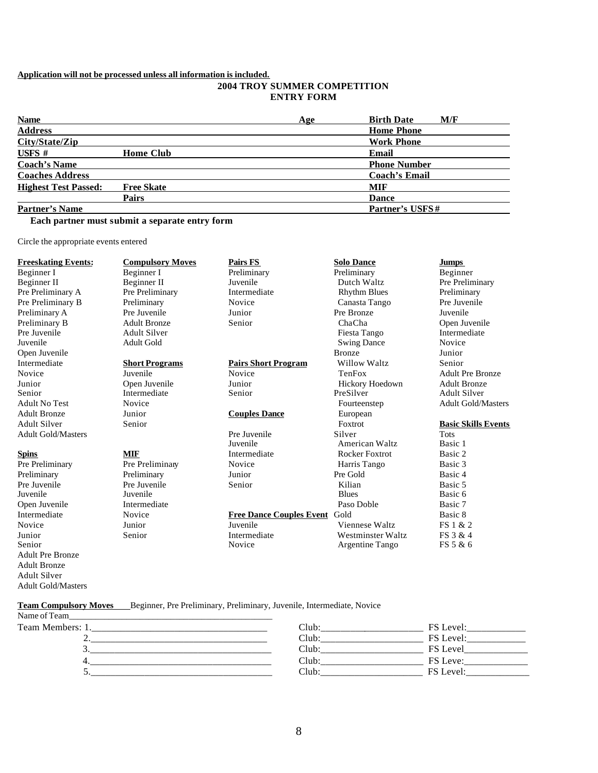## **Application will not be processed unless all information is included.**

## **2004 TROY SUMMER COMPETITION ENTRY FORM**

| <b>Name</b>                 |                   | Age   | <b>Birth Date</b><br>M/F |
|-----------------------------|-------------------|-------|--------------------------|
| <b>Address</b>              |                   |       | <b>Home Phone</b>        |
| City/State/Zip              |                   |       | <b>Work Phone</b>        |
| USFS #                      | <b>Home Club</b>  | Email |                          |
| <b>Coach's Name</b>         |                   |       | <b>Phone Number</b>      |
| <b>Coaches Address</b>      |                   |       | <b>Coach's Email</b>     |
| <b>Highest Test Passed:</b> | <b>Free Skate</b> |       | MIF                      |
|                             | <b>Pairs</b>      |       | <b>Dance</b>             |
| <b>Partner's Name</b>       |                   |       | Partner's USFS#          |

## **Each partner must submit a separate entry form**

Circle the appropriate events entered

Adult Gold/Masters

| <b>Freeskating Events:</b> | <b>Compulsory Moves</b> | <b>Pairs FS</b>               | <b>Solo Dance</b>        | <b>Jumps</b>               |
|----------------------------|-------------------------|-------------------------------|--------------------------|----------------------------|
| Beginner I                 | Beginner I              | Preliminary                   | Preliminary              | Beginner                   |
| Beginner II                | Beginner II             | Juvenile                      | Dutch Waltz              | Pre Preliminary            |
| Pre Preliminary A          | Pre Preliminary         | Intermediate                  | <b>Rhythm Blues</b>      | Preliminary                |
| Pre Preliminary B          | Preliminary             | Novice                        | Canasta Tango            | Pre Juvenile               |
| Preliminary A              | Pre Juvenile            | Junior                        | Pre Bronze               | Juvenile                   |
| Preliminary B              | <b>Adult Bronze</b>     | Senior                        | ChaCha                   | Open Juvenile              |
| Pre Juvenile               | <b>Adult Silver</b>     |                               | Fiesta Tango             | Intermediate               |
| Juvenile                   | <b>Adult Gold</b>       |                               | <b>Swing Dance</b>       | Novice                     |
| Open Juvenile              |                         |                               | <b>Bronze</b>            | Junior                     |
| Intermediate               | <b>Short Programs</b>   | <b>Pairs Short Program</b>    | Willow Waltz             | Senior                     |
| Novice                     | Juvenile                | Novice                        | TenFox                   | <b>Adult Pre Bronze</b>    |
| Junior                     | Open Juvenile           | Junior                        | Hickory Hoedown          | <b>Adult Bronze</b>        |
| Senior                     | Intermediate            | Senior                        | PreSilver                | <b>Adult Silver</b>        |
| <b>Adult No Test</b>       | Novice                  |                               | Fourteenstep             | <b>Adult Gold/Masters</b>  |
| <b>Adult Bronze</b>        | Junior                  | <b>Couples Dance</b>          | European                 |                            |
| <b>Adult Silver</b>        | Senior                  |                               | Foxtrot                  | <b>Basic Skills Events</b> |
| <b>Adult Gold/Masters</b>  |                         | Pre Juvenile                  | Silver                   | <b>Tots</b>                |
|                            |                         | Juvenile                      | American Waltz           | Basic 1                    |
| <b>Spins</b>               | <b>MIF</b>              | Intermediate                  | <b>Rocker Foxtrot</b>    | Basic 2                    |
| Pre Preliminary            | Pre Preliminary         | Novice                        | Harris Tango             | Basic 3                    |
| Preliminary                | Preliminary             | Junior                        | Pre Gold                 | Basic 4                    |
| Pre Juvenile               | Pre Juvenile            | Senior                        | Kilian                   | Basic 5                    |
| Juvenile                   | Juvenile                |                               | <b>Blues</b>             | Basic 6                    |
| Open Juvenile              | Intermediate            |                               | Paso Doble               | Basic 7                    |
| Intermediate               | Novice                  | Free Dance Couples Event Gold |                          | Basic 8                    |
| Novice                     | Junior                  | Juvenile                      | Viennese Waltz           | FS 1 & 2                   |
| Junior                     | Senior                  | Intermediate                  | <b>Westminster Waltz</b> | FS 3 & 4                   |
| Senior                     |                         | Novice                        | Argentine Tango          | FS 5 & 6                   |
| <b>Adult Pre Bronze</b>    |                         |                               |                          |                            |
| <b>Adult Bronze</b>        |                         |                               |                          |                            |
| <b>Adult Silver</b>        |                         |                               |                          |                            |

### **Team Compulsory Moves** Beginner, Pre Preliminary, Preliminary, Juvenile, Intermediate, Novice Name of Team

| t iditiv of Tediti |      |                 |
|--------------------|------|-----------------|
| Team Members: 1    | lub  | ` Level.        |
|                    | 'luh | FS Level:       |
|                    | `lub | Level           |
|                    | `lub | <b>FS</b> Leve: |
| ັ                  | `lub | $\rho$          |
|                    |      |                 |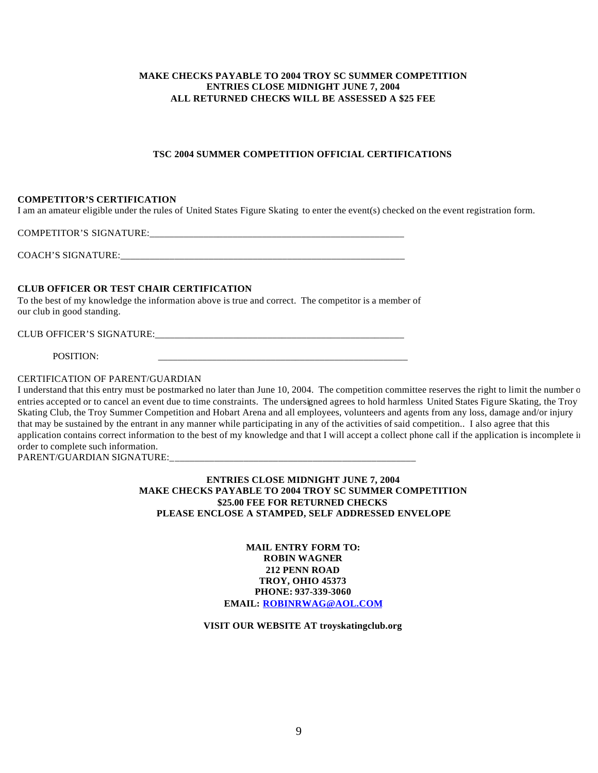## **MAKE CHECKS PAYABLE TO 2004 TROY SC SUMMER COMPETITION ENTRIES CLOSE MIDNIGHT JUNE 7, 2004 ALL RETURNED CHECKS WILL BE ASSESSED A \$25 FEE**

## **TSC 2004 SUMMER COMPETITION OFFICIAL CERTIFICATIONS**

## **COMPETITOR'S CERTIFICATION**

I am an amateur eligible under the rules of United States Figure Skating to enter the event(s) checked on the event registration form.

COMPETITOR'S SIGNATURE: COACH'S SIGNATURE:

## **CLUB OFFICER OR TEST CHAIR CERTIFICATION**

To the best of my knowledge the information above is true and correct. The competitor is a member of our club in good standing.

CLUB OFFICER'S SIGNATURE:

POSITION:

## CERTIFICATION OF PARENT/GUARDIAN

I understand that this entry must be postmarked no later than June 10, 2004. The competition committee reserves the right to limit the number of entries accepted or to cancel an event due to time constraints. The undersigned agrees to hold harmless United States Figure Skating, the Troy Skating Club, the Troy Summer Competition and Hobart Arena and all employees, volunteers and agents from any loss, damage and/or injury that may be sustained by the entrant in any manner while participating in any of the activities of said competition.. I also agree that this application contains correct information to the best of my knowledge and that I will accept a collect phone call if the application is incomplete in order to complete such information.

PARENT/GUARDIAN SIGNATURE:

**ENTRIES CLOSE MIDNIGHT JUNE 7, 2004 MAKE CHECKS PAYABLE TO 2004 TROY SC SUMMER COMPETITION \$25.00 FEE FOR RETURNED CHECKS PLEASE ENCLOSE A STAMPED, SELF ADDRESSED ENVELOPE**

> **MAIL ENTRY FORM TO: ROBIN WAGNER 212 PENN ROAD TROY, OHIO 45373 PHONE: 937-339-3060 EMAIL: ROBINRWAG@AOL.COM**

**VISIT OUR WEBSITE AT troyskatingclub.org**